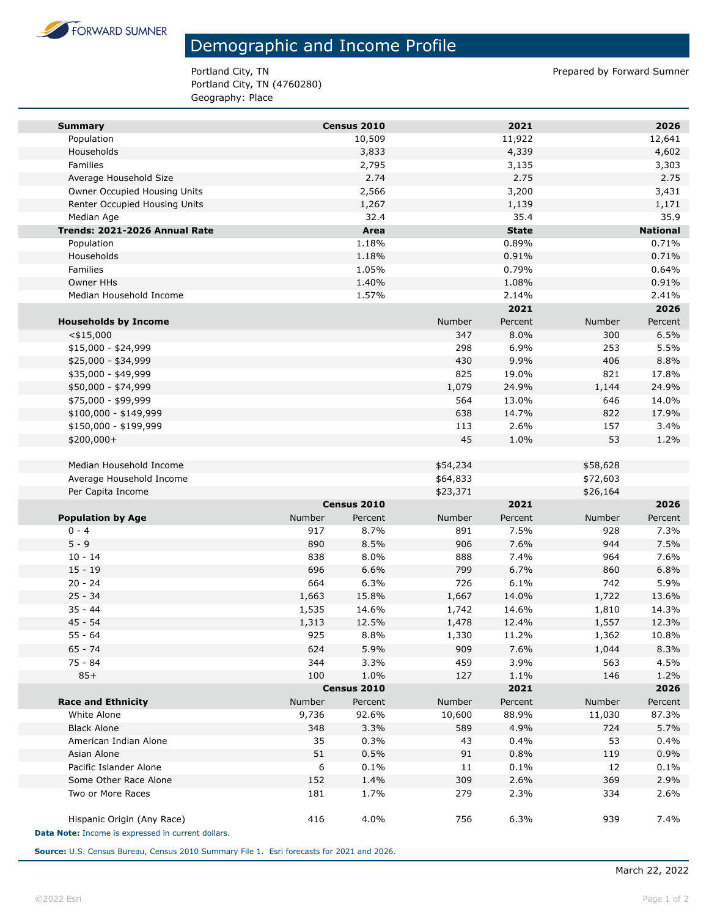

## Demographic and Income Profile

Portland City, TN Prepared by Forward Sumner Portland City, TN (4760280) Geography: Place

| <b>Summary</b>                                     |        | Census 2010            |          | 2021            |          | 2026            |
|----------------------------------------------------|--------|------------------------|----------|-----------------|----------|-----------------|
| Population                                         |        | 10,509                 |          | 11,922          |          | 12,641          |
| Households                                         |        | 3,833                  |          | 4,339           |          | 4,602           |
| Families                                           |        | 2,795                  |          | 3,135           |          | 3,303           |
| Average Household Size                             |        | 2.74                   |          | 2.75            |          | 2.75            |
| Owner Occupied Housing Units                       |        | 2,566                  |          | 3,200           |          | 3,431           |
| Renter Occupied Housing Units                      |        | 1,267                  |          | 1,139           |          | 1,171           |
| Median Age                                         |        | 32.4                   |          | 35.4            |          | 35.9            |
| Trends: 2021-2026 Annual Rate                      |        | Area                   |          | <b>State</b>    |          | <b>National</b> |
| Population                                         |        | 1.18%                  |          | 0.89%           |          | 0.71%           |
| Households                                         |        | 1.18%                  |          | 0.91%           |          | 0.71%           |
| Families                                           |        | 1.05%                  |          | 0.79%           |          | 0.64%           |
| <b>Owner HHs</b>                                   |        | 1.40%                  |          | 1.08%           |          | 0.91%           |
| Median Household Income                            |        | 1.57%                  |          | 2.14%           |          | 2.41%           |
|                                                    |        |                        |          | 2021            |          | 2026            |
| <b>Households by Income</b>                        |        |                        | Number   | Percent         | Number   | Percent         |
| $<$ \$15,000                                       |        |                        | 347      | 8.0%            | 300      | 6.5%            |
| $$15,000 - $24,999$                                |        |                        | 298      | 6.9%            | 253      | 5.5%            |
| \$25,000 - \$34,999                                |        |                        | 430      | 9.9%            | 406      | 8.8%            |
| \$35,000 - \$49,999                                |        |                        | 825      | 19.0%           | 821      | 17.8%           |
| \$50,000 - \$74,999                                |        |                        | 1,079    | 24.9%           | 1,144    | 24.9%           |
| \$75,000 - \$99,999                                |        |                        | 564      | 13.0%           | 646      | 14.0%           |
| \$100,000 - \$149,999                              |        |                        | 638      | 14.7%           | 822      | 17.9%           |
| \$150,000 - \$199,999                              |        |                        | 113      | 2.6%            | 157      | 3.4%            |
| \$200,000+                                         |        |                        | 45       | 1.0%            | 53       | 1.2%            |
|                                                    |        |                        |          |                 |          |                 |
| Median Household Income                            |        |                        | \$54,234 |                 | \$58,628 |                 |
| Average Household Income                           |        |                        | \$64,833 |                 | \$72,603 |                 |
| Per Capita Income                                  |        |                        | \$23,371 |                 | \$26,164 |                 |
|                                                    | Number | Census 2010<br>Percent | Number   | 2021<br>Percent | Number   | 2026<br>Percent |
| <b>Population by Age</b><br>$0 - 4$                | 917    | 8.7%                   | 891      | 7.5%            | 928      | 7.3%            |
| $5 - 9$                                            | 890    | 8.5%                   | 906      | 7.6%            | 944      | 7.5%            |
| $10 - 14$                                          | 838    | 8.0%                   | 888      | 7.4%            | 964      | 7.6%            |
| $15 - 19$                                          | 696    | 6.6%                   | 799      | 6.7%            | 860      | 6.8%            |
| $20 - 24$                                          | 664    | 6.3%                   | 726      | 6.1%            | 742      | 5.9%            |
| $25 - 34$                                          | 1,663  | 15.8%                  | 1,667    | 14.0%           | 1,722    | 13.6%           |
| $35 - 44$                                          | 1,535  | 14.6%                  | 1,742    | 14.6%           | 1,810    | 14.3%           |
| $45 - 54$                                          | 1,313  | 12.5%                  | 1,478    | 12.4%           | 1,557    | 12.3%           |
| $55 - 64$                                          | 925    | 8.8%                   | 1,330    | 11.2%           | 1,362    | 10.8%           |
| $65 - 74$                                          | 624    | 5.9%                   | 909      | 7.6%            | 1,044    | 8.3%            |
| 75 - 84                                            | 344    | 3.3%                   | 459      | 3.9%            | 563      | 4.5%            |
| $85+$                                              | 100    | 1.0%                   | 127      | 1.1%            | 146      | 1.2%            |
|                                                    |        | Census 2010            |          | 2021            |          | 2026            |
| <b>Race and Ethnicity</b>                          | Number | Percent                | Number   | Percent         | Number   | Percent         |
| White Alone                                        | 9,736  | 92.6%                  | 10,600   | 88.9%           | 11,030   | 87.3%           |
| <b>Black Alone</b>                                 | 348    | 3.3%                   | 589      | 4.9%            | 724      | 5.7%            |
| American Indian Alone                              | 35     | 0.3%                   | 43       | 0.4%            | 53       | 0.4%            |
| Asian Alone                                        | 51     | 0.5%                   | 91       | 0.8%            | 119      | 0.9%            |
| Pacific Islander Alone                             | 6      | 0.1%                   | 11       | 0.1%            | 12       | 0.1%            |
| Some Other Race Alone                              | 152    | 1.4%                   | 309      | 2.6%            | 369      | 2.9%            |
| Two or More Races                                  | 181    | 1.7%                   | 279      | 2.3%            | 334      | 2.6%            |
| Hispanic Origin (Any Race)                         | 416    | 4.0%                   | 756      | 6.3%            | 939      | 7.4%            |
| Data Note: Income is expressed in current dollars. |        |                        |          |                 |          |                 |

**Source:** U.S. Census Bureau, Census 2010 Summary File 1. Esri forecasts for 2021 and 2026.